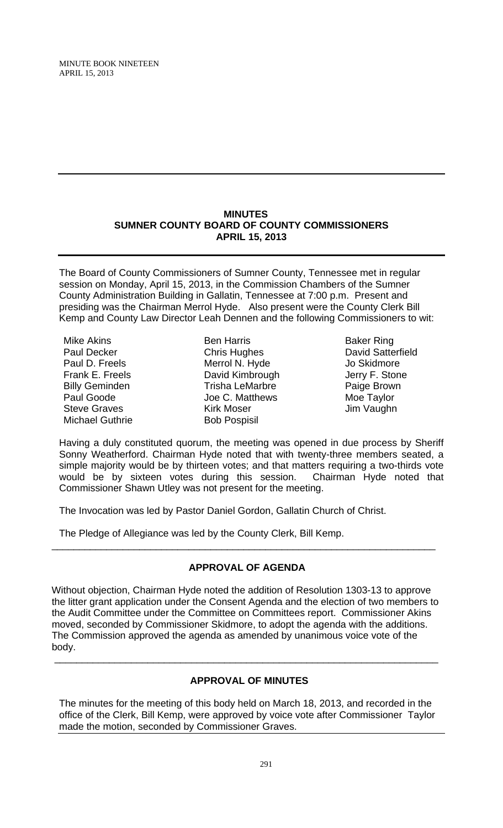## **MINUTES SUMNER COUNTY BOARD OF COUNTY COMMISSIONERS APRIL 15, 2013**

The Board of County Commissioners of Sumner County, Tennessee met in regular session on Monday, April 15, 2013, in the Commission Chambers of the Sumner County Administration Building in Gallatin, Tennessee at 7:00 p.m. Present and presiding was the Chairman Merrol Hyde. Also present were the County Clerk Bill Kemp and County Law Director Leah Dennen and the following Commissioners to wit:

Mike Akins Paul Decker Paul D. Freels Frank E. Freels Billy Geminden Paul Goode Steve Graves Michael Guthrie

Ben Harris Chris Hughes Merrol N. Hyde David Kimbrough Trisha LeMarbre Joe C. Matthews Kirk Moser Bob Pospisil

Baker Ring David Satterfield Jo Skidmore Jerry F. Stone Paige Brown Moe Taylor Jim Vaughn

Having a duly constituted quorum, the meeting was opened in due process by Sheriff Sonny Weatherford. Chairman Hyde noted that with twenty-three members seated, a simple majority would be by thirteen votes; and that matters requiring a two-thirds vote would be by sixteen votes during this session. Chairman Hyde noted that Commissioner Shawn Utley was not present for the meeting.

The Invocation was led by Pastor Daniel Gordon, Gallatin Church of Christ.

The Pledge of Allegiance was led by the County Clerk, Bill Kemp.

# **APPROVAL OF AGENDA**

\_\_\_\_\_\_\_\_\_\_\_\_\_\_\_\_\_\_\_\_\_\_\_\_\_\_\_\_\_\_\_\_\_\_\_\_\_\_\_\_\_\_\_\_\_\_\_\_\_\_\_\_\_\_\_\_\_\_\_\_\_\_\_\_\_\_\_\_\_\_

Without objection, Chairman Hyde noted the addition of Resolution 1303-13 to approve the litter grant application under the Consent Agenda and the election of two members to the Audit Committee under the Committee on Committees report. Commissioner Akins moved, seconded by Commissioner Skidmore, to adopt the agenda with the additions. The Commission approved the agenda as amended by unanimous voice vote of the body.

# **APPROVAL OF MINUTES**

\_\_\_\_\_\_\_\_\_\_\_\_\_\_\_\_\_\_\_\_\_\_\_\_\_\_\_\_\_\_\_\_\_\_\_\_\_\_\_\_\_\_\_\_\_\_\_\_\_\_\_\_\_\_\_\_\_\_\_\_\_\_\_\_\_\_\_\_\_\_

The minutes for the meeting of this body held on March 18, 2013, and recorded in the office of the Clerk, Bill Kemp, were approved by voice vote after Commissioner Taylor made the motion, seconded by Commissioner Graves.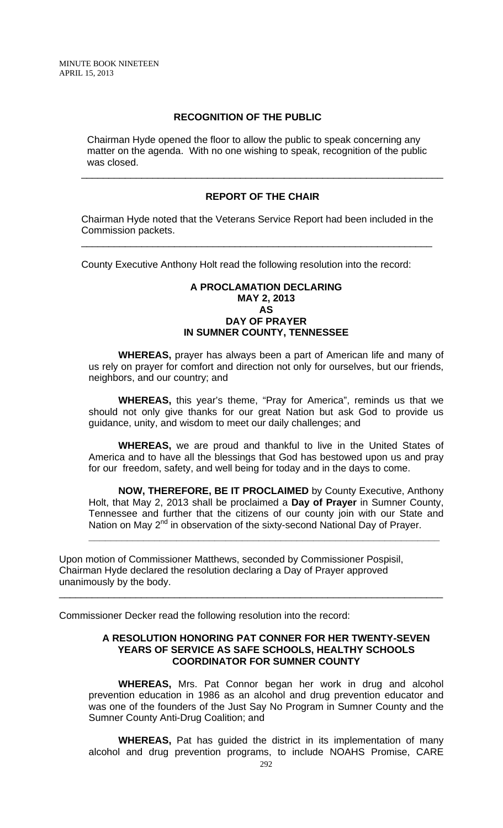## **RECOGNITION OF THE PUBLIC**

 Chairman Hyde opened the floor to allow the public to speak concerning any matter on the agenda. With no one wishing to speak, recognition of the public was closed.

#### **REPORT OF THE CHAIR**

\_\_\_\_\_\_\_\_\_\_\_\_\_\_\_\_\_\_\_\_\_\_\_\_\_\_\_\_\_\_\_\_\_\_\_\_\_\_\_\_\_\_\_\_\_\_\_\_\_\_\_\_\_\_\_\_\_\_\_\_\_\_\_\_\_\_

Chairman Hyde noted that the Veterans Service Report had been included in the Commission packets.

\_\_\_\_\_\_\_\_\_\_\_\_\_\_\_\_\_\_\_\_\_\_\_\_\_\_\_\_\_\_\_\_\_\_\_\_\_\_\_\_\_\_\_\_\_\_\_\_\_\_\_\_\_\_\_\_\_\_\_\_\_\_\_\_

County Executive Anthony Holt read the following resolution into the record:

#### **A PROCLAMATION DECLARING MAY 2, 2013 AS DAY OF PRAYER IN SUMNER COUNTY, TENNESSEE**

 **WHEREAS,** prayer has always been a part of American life and many of us rely on prayer for comfort and direction not only for ourselves, but our friends, neighbors, and our country; and

**WHEREAS,** this year's theme, "Pray for America", reminds us that we should not only give thanks for our great Nation but ask God to provide us guidance, unity, and wisdom to meet our daily challenges; and

 **WHEREAS,** we are proud and thankful to live in the United States of America and to have all the blessings that God has bestowed upon us and pray for our freedom, safety, and well being for today and in the days to come.

 **NOW, THEREFORE, BE IT PROCLAIMED** by County Executive, Anthony Holt, that May 2, 2013 shall be proclaimed a **Day of Prayer** in Sumner County, Tennessee and further that the citizens of our county join with our State and Nation on May 2<sup>nd</sup> in observation of the sixty-second National Day of Prayer.

**\_\_\_\_\_\_\_\_\_\_\_\_\_\_\_\_\_\_\_\_\_\_\_\_\_\_\_\_\_\_\_\_\_\_\_\_\_\_\_\_\_\_\_\_\_\_\_\_\_\_\_\_\_\_\_\_\_\_\_\_\_\_\_\_**

\_\_\_\_\_\_\_\_\_\_\_\_\_\_\_\_\_\_\_\_\_\_\_\_\_\_\_\_\_\_\_\_\_\_\_\_\_\_\_\_\_\_\_\_\_\_\_\_\_\_\_\_\_\_\_\_\_\_\_\_\_\_\_\_\_\_\_\_\_\_

Upon motion of Commissioner Matthews, seconded by Commissioner Pospisil, Chairman Hyde declared the resolution declaring a Day of Prayer approved unanimously by the body.

Commissioner Decker read the following resolution into the record:

#### **A RESOLUTION HONORING PAT CONNER FOR HER TWENTY-SEVEN YEARS OF SERVICE AS SAFE SCHOOLS, HEALTHY SCHOOLS COORDINATOR FOR SUMNER COUNTY**

 **WHEREAS,** Mrs. Pat Connor began her work in drug and alcohol prevention education in 1986 as an alcohol and drug prevention educator and was one of the founders of the Just Say No Program in Sumner County and the Sumner County Anti-Drug Coalition; and

**WHEREAS,** Pat has guided the district in its implementation of many alcohol and drug prevention programs, to include NOAHS Promise, CARE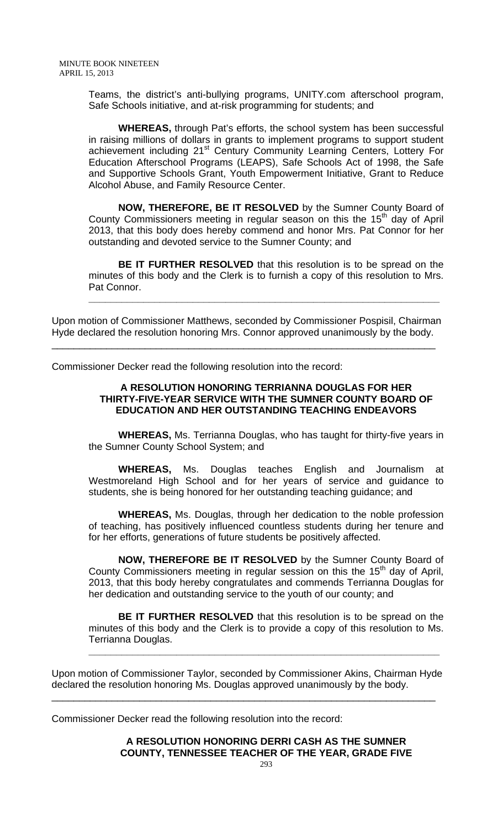Teams, the district's anti-bullying programs, UNITY.com afterschool program, Safe Schools initiative, and at-risk programming for students; and

 **WHEREAS,** through Pat's efforts, the school system has been successful in raising millions of dollars in grants to implement programs to support student achievement including 21<sup>st</sup> Century Community Learning Centers, Lottery For Education Afterschool Programs (LEAPS), Safe Schools Act of 1998, the Safe and Supportive Schools Grant, Youth Empowerment Initiative, Grant to Reduce Alcohol Abuse, and Family Resource Center.

 **NOW, THEREFORE, BE IT RESOLVED** by the Sumner County Board of County Commissioners meeting in regular season on this the 15<sup>th</sup> day of April 2013, that this body does hereby commend and honor Mrs. Pat Connor for her outstanding and devoted service to the Sumner County; and

**BE IT FURTHER RESOLVED** that this resolution is to be spread on the minutes of this body and the Clerk is to furnish a copy of this resolution to Mrs. Pat Connor.

**\_\_\_\_\_\_\_\_\_\_\_\_\_\_\_\_\_\_\_\_\_\_\_\_\_\_\_\_\_\_\_\_\_\_\_\_\_\_\_\_\_\_\_\_\_\_\_\_\_\_\_\_\_\_\_\_\_\_\_\_\_\_\_\_**

Upon motion of Commissioner Matthews, seconded by Commissioner Pospisil, Chairman Hyde declared the resolution honoring Mrs. Connor approved unanimously by the body.

\_\_\_\_\_\_\_\_\_\_\_\_\_\_\_\_\_\_\_\_\_\_\_\_\_\_\_\_\_\_\_\_\_\_\_\_\_\_\_\_\_\_\_\_\_\_\_\_\_\_\_\_\_\_\_\_\_\_\_\_\_\_\_\_\_\_\_\_\_\_

Commissioner Decker read the following resolution into the record:

## **A RESOLUTION HONORING TERRIANNA DOUGLAS FOR HER THIRTY-FIVE-YEAR SERVICE WITH THE SUMNER COUNTY BOARD OF EDUCATION AND HER OUTSTANDING TEACHING ENDEAVORS**

 **WHEREAS,** Ms. Terrianna Douglas, who has taught for thirty-five years in the Sumner County School System; and

**WHEREAS,** Ms. Douglas teaches English and Journalism at Westmoreland High School and for her years of service and guidance to students, she is being honored for her outstanding teaching guidance; and

**WHEREAS,** Ms. Douglas, through her dedication to the noble profession of teaching, has positively influenced countless students during her tenure and for her efforts, generations of future students be positively affected.

**NOW, THEREFORE BE IT RESOLVED** by the Sumner County Board of County Commissioners meeting in regular session on this the 15<sup>th</sup> day of April, 2013, that this body hereby congratulates and commends Terrianna Douglas for her dedication and outstanding service to the youth of our county; and

**BE IT FURTHER RESOLVED** that this resolution is to be spread on the minutes of this body and the Clerk is to provide a copy of this resolution to Ms. Terrianna Douglas.

**\_\_\_\_\_\_\_\_\_\_\_\_\_\_\_\_\_\_\_\_\_\_\_\_\_\_\_\_\_\_\_\_\_\_\_\_\_\_\_\_\_\_\_\_\_\_\_\_\_\_\_\_\_\_\_\_\_\_\_\_\_\_\_\_**

Upon motion of Commissioner Taylor, seconded by Commissioner Akins, Chairman Hyde declared the resolution honoring Ms. Douglas approved unanimously by the body.

\_\_\_\_\_\_\_\_\_\_\_\_\_\_\_\_\_\_\_\_\_\_\_\_\_\_\_\_\_\_\_\_\_\_\_\_\_\_\_\_\_\_\_\_\_\_\_\_\_\_\_\_\_\_\_\_\_\_\_\_\_\_\_\_\_\_\_\_\_\_

Commissioner Decker read the following resolution into the record:

**A RESOLUTION HONORING DERRI CASH AS THE SUMNER COUNTY, TENNESSEE TEACHER OF THE YEAR, GRADE FIVE**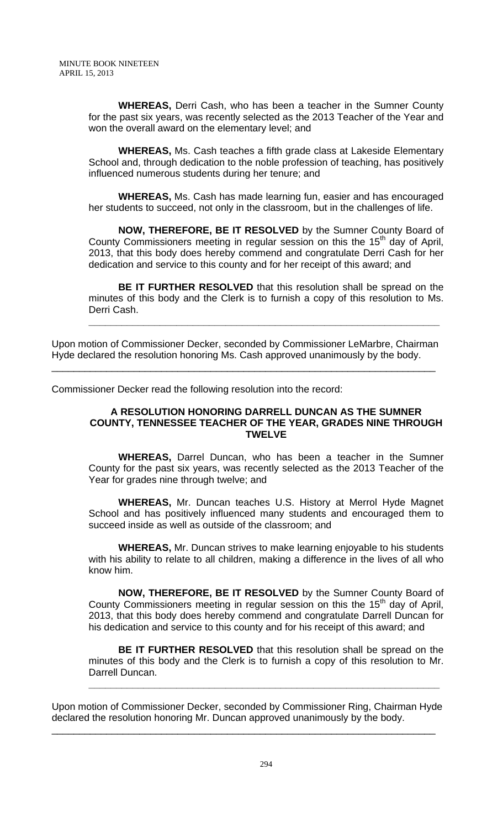**WHEREAS,** Derri Cash, who has been a teacher in the Sumner County for the past six years, was recently selected as the 2013 Teacher of the Year and won the overall award on the elementary level; and

**WHEREAS,** Ms. Cash teaches a fifth grade class at Lakeside Elementary School and, through dedication to the noble profession of teaching, has positively influenced numerous students during her tenure; and

**WHEREAS,** Ms. Cash has made learning fun, easier and has encouraged her students to succeed, not only in the classroom, but in the challenges of life.

**NOW, THEREFORE, BE IT RESOLVED** by the Sumner County Board of County Commissioners meeting in regular session on this the  $15<sup>th</sup>$  day of April, 2013, that this body does hereby commend and congratulate Derri Cash for her dedication and service to this county and for her receipt of this award; and

**BE IT FURTHER RESOLVED** that this resolution shall be spread on the minutes of this body and the Clerk is to furnish a copy of this resolution to Ms. Derri Cash.

**\_\_\_\_\_\_\_\_\_\_\_\_\_\_\_\_\_\_\_\_\_\_\_\_\_\_\_\_\_\_\_\_\_\_\_\_\_\_\_\_\_\_\_\_\_\_\_\_\_\_\_\_\_\_\_\_\_\_\_\_\_\_\_\_**

Upon motion of Commissioner Decker, seconded by Commissioner LeMarbre, Chairman Hyde declared the resolution honoring Ms. Cash approved unanimously by the body.

\_\_\_\_\_\_\_\_\_\_\_\_\_\_\_\_\_\_\_\_\_\_\_\_\_\_\_\_\_\_\_\_\_\_\_\_\_\_\_\_\_\_\_\_\_\_\_\_\_\_\_\_\_\_\_\_\_\_\_\_\_\_\_\_\_\_\_\_\_\_

Commissioner Decker read the following resolution into the record:

### **A RESOLUTION HONORING DARRELL DUNCAN AS THE SUMNER COUNTY, TENNESSEE TEACHER OF THE YEAR, GRADES NINE THROUGH TWELVE**

 **WHEREAS,** Darrel Duncan, who has been a teacher in the Sumner County for the past six years, was recently selected as the 2013 Teacher of the Year for grades nine through twelve; and

**WHEREAS,** Mr. Duncan teaches U.S. History at Merrol Hyde Magnet School and has positively influenced many students and encouraged them to succeed inside as well as outside of the classroom; and

**WHEREAS,** Mr. Duncan strives to make learning enjoyable to his students with his ability to relate to all children, making a difference in the lives of all who know him.

**NOW, THEREFORE, BE IT RESOLVED** by the Sumner County Board of County Commissioners meeting in regular session on this the  $15<sup>th</sup>$  day of April, 2013, that this body does hereby commend and congratulate Darrell Duncan for his dedication and service to this county and for his receipt of this award; and

**BE IT FURTHER RESOLVED** that this resolution shall be spread on the minutes of this body and the Clerk is to furnish a copy of this resolution to Mr. Darrell Duncan.

**\_\_\_\_\_\_\_\_\_\_\_\_\_\_\_\_\_\_\_\_\_\_\_\_\_\_\_\_\_\_\_\_\_\_\_\_\_\_\_\_\_\_\_\_\_\_\_\_\_\_\_\_\_\_\_\_\_\_\_\_\_\_\_\_**

Upon motion of Commissioner Decker, seconded by Commissioner Ring, Chairman Hyde declared the resolution honoring Mr. Duncan approved unanimously by the body.

\_\_\_\_\_\_\_\_\_\_\_\_\_\_\_\_\_\_\_\_\_\_\_\_\_\_\_\_\_\_\_\_\_\_\_\_\_\_\_\_\_\_\_\_\_\_\_\_\_\_\_\_\_\_\_\_\_\_\_\_\_\_\_\_\_\_\_\_\_\_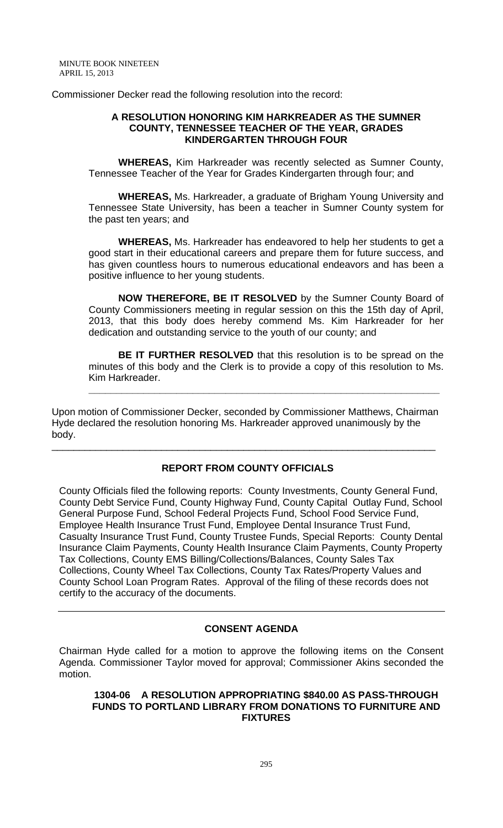Commissioner Decker read the following resolution into the record:

### **A RESOLUTION HONORING KIM HARKREADER AS THE SUMNER COUNTY, TENNESSEE TEACHER OF THE YEAR, GRADES KINDERGARTEN THROUGH FOUR**

**WHEREAS,** Kim Harkreader was recently selected as Sumner County, Tennessee Teacher of the Year for Grades Kindergarten through four; and

**WHEREAS,** Ms. Harkreader, a graduate of Brigham Young University and Tennessee State University, has been a teacher in Sumner County system for the past ten years; and

**WHEREAS,** Ms. Harkreader has endeavored to help her students to get a good start in their educational careers and prepare them for future success, and has given countless hours to numerous educational endeavors and has been a positive influence to her young students.

 **NOW THEREFORE, BE IT RESOLVED** by the Sumner County Board of County Commissioners meeting in regular session on this the 15th day of April, 2013, that this body does hereby commend Ms. Kim Harkreader for her dedication and outstanding service to the youth of our county; and

**BE IT FURTHER RESOLVED** that this resolution is to be spread on the minutes of this body and the Clerk is to provide a copy of this resolution to Ms. Kim Harkreader.

**\_\_\_\_\_\_\_\_\_\_\_\_\_\_\_\_\_\_\_\_\_\_\_\_\_\_\_\_\_\_\_\_\_\_\_\_\_\_\_\_\_\_\_\_\_\_\_\_\_\_\_\_\_\_\_\_\_\_\_\_\_\_\_\_**

Upon motion of Commissioner Decker, seconded by Commissioner Matthews, Chairman Hyde declared the resolution honoring Ms. Harkreader approved unanimously by the body.

\_\_\_\_\_\_\_\_\_\_\_\_\_\_\_\_\_\_\_\_\_\_\_\_\_\_\_\_\_\_\_\_\_\_\_\_\_\_\_\_\_\_\_\_\_\_\_\_\_\_\_\_\_\_\_\_\_\_\_\_\_\_\_\_\_\_\_\_\_\_

# **REPORT FROM COUNTY OFFICIALS**

County Officials filed the following reports: County Investments, County General Fund, County Debt Service Fund, County Highway Fund, County Capital Outlay Fund, School General Purpose Fund, School Federal Projects Fund, School Food Service Fund, Employee Health Insurance Trust Fund, Employee Dental Insurance Trust Fund, Casualty Insurance Trust Fund, County Trustee Funds, Special Reports: County Dental Insurance Claim Payments, County Health Insurance Claim Payments, County Property Tax Collections, County EMS Billing/Collections/Balances, County Sales Tax Collections, County Wheel Tax Collections, County Tax Rates/Property Values and County School Loan Program Rates. Approval of the filing of these records does not certify to the accuracy of the documents.

## **CONSENT AGENDA**

Chairman Hyde called for a motion to approve the following items on the Consent Agenda. Commissioner Taylor moved for approval; Commissioner Akins seconded the motion.

### **1304-06 A RESOLUTION APPROPRIATING \$840.00 AS PASS-THROUGH FUNDS TO PORTLAND LIBRARY FROM DONATIONS TO FURNITURE AND FIXTURES**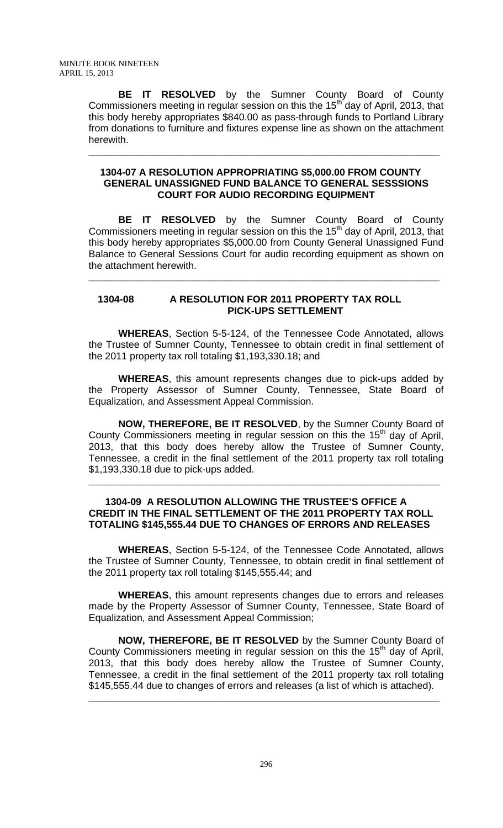**BE IT RESOLVED** by the Sumner County Board of County Commissioners meeting in regular session on this the 15<sup>th</sup> day of April, 2013, that this body hereby appropriates \$840.00 as pass-through funds to Portland Library from donations to furniture and fixtures expense line as shown on the attachment herewith.

## **1304-07 A RESOLUTION APPROPRIATING \$5,000.00 FROM COUNTY GENERAL UNASSIGNED FUND BALANCE TO GENERAL SESSSIONS COURT FOR AUDIO RECORDING EQUIPMENT**

**\_\_\_\_\_\_\_\_\_\_\_\_\_\_\_\_\_\_\_\_\_\_\_\_\_\_\_\_\_\_\_\_\_\_\_\_\_\_\_\_\_\_\_\_\_\_\_\_\_\_\_\_\_\_\_\_\_\_\_\_\_\_\_\_**

**BE IT RESOLVED** by the Sumner County Board of County Commissioners meeting in regular session on this the 15<sup>th</sup> day of April, 2013, that this body hereby appropriates \$5,000.00 from County General Unassigned Fund Balance to General Sessions Court for audio recording equipment as shown on the attachment herewith.

**\_\_\_\_\_\_\_\_\_\_\_\_\_\_\_\_\_\_\_\_\_\_\_\_\_\_\_\_\_\_\_\_\_\_\_\_\_\_\_\_\_\_\_\_\_\_\_\_\_\_\_\_\_\_\_\_\_\_\_\_\_\_\_\_**

## **1304-08 A RESOLUTION FOR 2011 PROPERTY TAX ROLL PICK-UPS SETTLEMENT**

 **WHEREAS**, Section 5-5-124, of the Tennessee Code Annotated, allows the Trustee of Sumner County, Tennessee to obtain credit in final settlement of the 2011 property tax roll totaling \$1,193,330.18; and

**WHEREAS**, this amount represents changes due to pick-ups added by the Property Assessor of Sumner County, Tennessee, State Board of Equalization, and Assessment Appeal Commission.

**NOW, THEREFORE, BE IT RESOLVED**, by the Sumner County Board of County Commissioners meeting in regular session on this the  $15<sup>th</sup>$  day of April, 2013, that this body does hereby allow the Trustee of Sumner County, Tennessee, a credit in the final settlement of the 2011 property tax roll totaling \$1,193,330.18 due to pick-ups added.

## **1304-09 A RESOLUTION ALLOWING THE TRUSTEE'S OFFICE A CREDIT IN THE FINAL SETTLEMENT OF THE 2011 PROPERTY TAX ROLL TOTALING \$145,555.44 DUE TO CHANGES OF ERRORS AND RELEASES**

**\_\_\_\_\_\_\_\_\_\_\_\_\_\_\_\_\_\_\_\_\_\_\_\_\_\_\_\_\_\_\_\_\_\_\_\_\_\_\_\_\_\_\_\_\_\_\_\_\_\_\_\_\_\_\_\_\_\_\_\_\_\_\_\_**

 **WHEREAS**, Section 5-5-124, of the Tennessee Code Annotated, allows the Trustee of Sumner County, Tennessee, to obtain credit in final settlement of the 2011 property tax roll totaling \$145,555.44; and

**WHEREAS**, this amount represents changes due to errors and releases made by the Property Assessor of Sumner County, Tennessee, State Board of Equalization, and Assessment Appeal Commission;

**NOW, THEREFORE, BE IT RESOLVED** by the Sumner County Board of County Commissioners meeting in regular session on this the 15<sup>th</sup> day of April, 2013, that this body does hereby allow the Trustee of Sumner County, Tennessee, a credit in the final settlement of the 2011 property tax roll totaling \$145,555.44 due to changes of errors and releases (a list of which is attached).

**\_\_\_\_\_\_\_\_\_\_\_\_\_\_\_\_\_\_\_\_\_\_\_\_\_\_\_\_\_\_\_\_\_\_\_\_\_\_\_\_\_\_\_\_\_\_\_\_\_\_\_\_\_\_\_\_\_\_\_\_\_\_\_\_**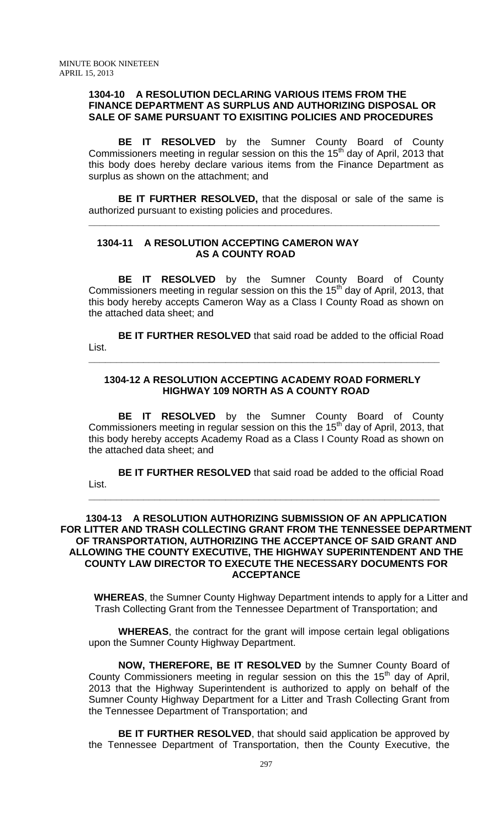## **1304-10 A RESOLUTION DECLARING VARIOUS ITEMS FROM THE FINANCE DEPARTMENT AS SURPLUS AND AUTHORIZING DISPOSAL OR SALE OF SAME PURSUANT TO EXISITING POLICIES AND PROCEDURES**

 **BE IT RESOLVED** by the Sumner County Board of County Commissioners meeting in regular session on this the 15<sup>th</sup> day of April, 2013 that this body does hereby declare various items from the Finance Department as surplus as shown on the attachment; and

**BE IT FURTHER RESOLVED,** that the disposal or sale of the same is authorized pursuant to existing policies and procedures.

**\_\_\_\_\_\_\_\_\_\_\_\_\_\_\_\_\_\_\_\_\_\_\_\_\_\_\_\_\_\_\_\_\_\_\_\_\_\_\_\_\_\_\_\_\_\_\_\_\_\_\_\_\_\_\_\_\_\_\_\_\_\_\_\_**

## **1304-11 A RESOLUTION ACCEPTING CAMERON WAY AS A COUNTY ROAD**

**BE IT RESOLVED** by the Sumner County Board of County Commissioners meeting in regular session on this the 15<sup>th</sup> day of April, 2013, that this body hereby accepts Cameron Way as a Class I County Road as shown on the attached data sheet; and

**BE IT FURTHER RESOLVED** that said road be added to the official Road List.

## **1304-12 A RESOLUTION ACCEPTING ACADEMY ROAD FORMERLY HIGHWAY 109 NORTH AS A COUNTY ROAD**

**\_\_\_\_\_\_\_\_\_\_\_\_\_\_\_\_\_\_\_\_\_\_\_\_\_\_\_\_\_\_\_\_\_\_\_\_\_\_\_\_\_\_\_\_\_\_\_\_\_\_\_\_\_\_\_\_\_\_\_\_\_\_\_\_**

**BE IT RESOLVED** by the Sumner County Board of County Commissioners meeting in regular session on this the 15<sup>th</sup> day of April, 2013, that this body hereby accepts Academy Road as a Class I County Road as shown on the attached data sheet; and

**BE IT FURTHER RESOLVED** that said road be added to the official Road List.

**\_\_\_\_\_\_\_\_\_\_\_\_\_\_\_\_\_\_\_\_\_\_\_\_\_\_\_\_\_\_\_\_\_\_\_\_\_\_\_\_\_\_\_\_\_\_\_\_\_\_\_\_\_\_\_\_\_\_\_\_\_\_\_\_**

**1304-13 A RESOLUTION AUTHORIZING SUBMISSION OF AN APPLICATION FOR LITTER AND TRASH COLLECTING GRANT FROM THE TENNESSEE DEPARTMENT OF TRANSPORTATION, AUTHORIZING THE ACCEPTANCE OF SAID GRANT AND ALLOWING THE COUNTY EXECUTIVE, THE HIGHWAY SUPERINTENDENT AND THE COUNTY LAW DIRECTOR TO EXECUTE THE NECESSARY DOCUMENTS FOR ACCEPTANCE** 

**WHEREAS**, the Sumner County Highway Department intends to apply for a Litter and Trash Collecting Grant from the Tennessee Department of Transportation; and

**WHEREAS**, the contract for the grant will impose certain legal obligations upon the Sumner County Highway Department.

**NOW, THEREFORE, BE IT RESOLVED** by the Sumner County Board of County Commissioners meeting in regular session on this the  $15<sup>th</sup>$  day of April, 2013 that the Highway Superintendent is authorized to apply on behalf of the Sumner County Highway Department for a Litter and Trash Collecting Grant from the Tennessee Department of Transportation; and

**BE IT FURTHER RESOLVED**, that should said application be approved by the Tennessee Department of Transportation, then the County Executive, the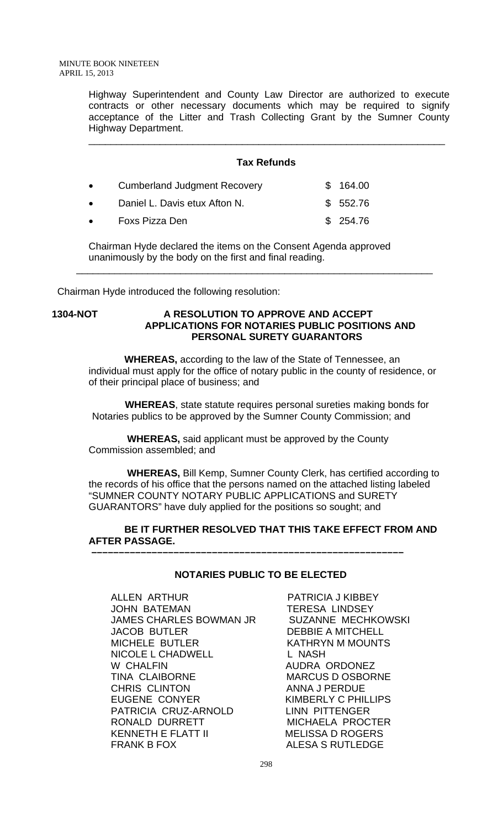Highway Superintendent and County Law Director are authorized to execute contracts or other necessary documents which may be required to signify acceptance of the Litter and Trash Collecting Grant by the Sumner County Highway Department.

## **Tax Refunds**

\_\_\_\_\_\_\_\_\_\_\_\_\_\_\_\_\_\_\_\_\_\_\_\_\_\_\_\_\_\_\_\_\_\_\_\_\_\_\_\_\_\_\_\_\_\_\_\_\_\_\_\_\_\_\_\_\_\_\_\_\_\_\_\_\_

| $\bullet$ | <b>Cumberland Judgment Recovery</b> | \$164.00  |
|-----------|-------------------------------------|-----------|
| $\bullet$ | Daniel L. Davis etux Afton N.       | \$ 552.76 |
| $\bullet$ | Foxs Pizza Den                      | \$254.76  |

Chairman Hyde declared the items on the Consent Agenda approved unanimously by the body on the first and final reading.

\_\_\_\_\_\_\_\_\_\_\_\_\_\_\_\_\_\_\_\_\_\_\_\_\_\_\_\_\_\_\_\_\_\_\_\_\_\_\_\_\_\_\_\_\_\_\_\_\_\_\_\_\_\_\_\_\_\_\_\_\_\_\_\_\_

Chairman Hyde introduced the following resolution:

## **1304-NOT A RESOLUTION TO APPROVE AND ACCEPT APPLICATIONS FOR NOTARIES PUBLIC POSITIONS AND PERSONAL SURETY GUARANTORS**

 **WHEREAS,** according to the law of the State of Tennessee, an individual must apply for the office of notary public in the county of residence, or of their principal place of business; and

 **WHEREAS**, state statute requires personal sureties making bonds for Notaries publics to be approved by the Sumner County Commission; and

 **WHEREAS,** said applicant must be approved by the County Commission assembled; and

 **–––––––––––––––––––––––––––––––––––––––––––––––––––––––––**

 **WHEREAS,** Bill Kemp, Sumner County Clerk, has certified according to the records of his office that the persons named on the attached listing labeled "SUMNER COUNTY NOTARY PUBLIC APPLICATIONS and SURETY GUARANTORS" have duly applied for the positions so sought; and

## **BE IT FURTHER RESOLVED THAT THIS TAKE EFFECT FROM AND AFTER PASSAGE.**

## **NOTARIES PUBLIC TO BE ELECTED**

ALLEN ARTHUR PATRICIA J KIBBEY JOHN BATEMAN TERESA LINDSEY JAMES CHARLES BOWMAN JR SUZANNE MECHKOWSKI JACOB BUTLER DEBBIE A MITCHELL MICHELE BUTLER KATHRYN M MOUNTS NICOLE L CHADWELL L NASH W CHALFIN AUDRA ORDONEZ TINA CLAIBORNE MARCUS DOSBORNE CHRIS CLINTON ANNA J PERDUE EUGENE CONYER KIMBERLY C PHILLIPS<br>
PATRICIA CRUZ-ARNOLD LINN PITTENGER PATRICIA CRUZ-ARNOLD RONALD DURRETT MICHAELA PROCTER KENNETH E FLATT II MELISSA D ROGERS FRANK B FOX ALESA S RUTLEDGE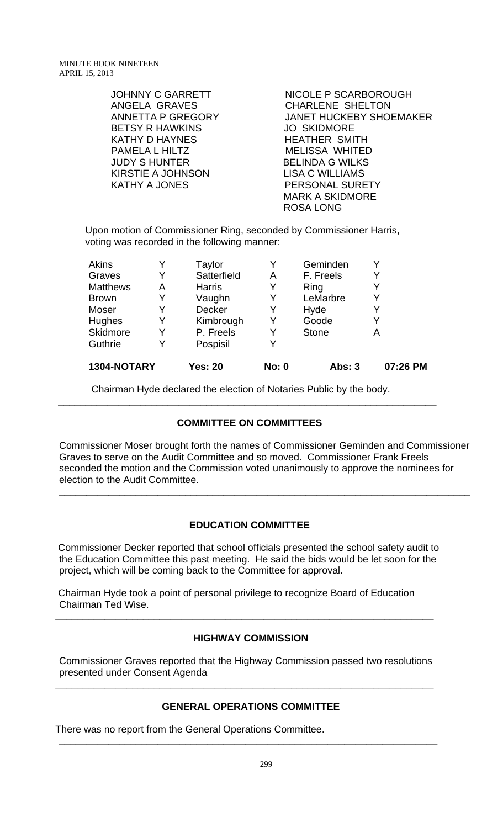| <b>JOHNNY C GARRETT</b><br>ANGELA GRAVES<br><b>ANNETTA P GREGORY</b><br><b>BETSY R HAWKINS</b><br><b>KATHY D HAYNES</b><br>PAMELA L HILTZ<br><b>JUDY S HUNTER</b><br><b>KIRSTIE A JOHNSON</b><br><b>KATHY A JONES</b> | NICOLE P SCARBOROUGH<br><b>CHARLENE SHELTON</b><br><b>JANET HUCKEBY SHOEMAKER</b><br><b>JO SKIDMORE</b><br><b>HEATHER SMITH</b><br><b>MELISSA WHITED</b><br><b>BELINDA G WILKS</b><br><b>LISA C WILLIAMS</b><br>PERSONAL SURETY |
|-----------------------------------------------------------------------------------------------------------------------------------------------------------------------------------------------------------------------|---------------------------------------------------------------------------------------------------------------------------------------------------------------------------------------------------------------------------------|
|                                                                                                                                                                                                                       | <b>MARK A SKIDMORE</b><br><b>ROSA LONG</b>                                                                                                                                                                                      |
|                                                                                                                                                                                                                       |                                                                                                                                                                                                                                 |

Upon motion of Commissioner Ring, seconded by Commissioner Harris, voting was recorded in the following manner:

| 1304-NOTARY     |   | <b>Yes: 20</b> | <b>No: 0</b> | <b>Abs: 3</b> | 07:26 PM |
|-----------------|---|----------------|--------------|---------------|----------|
| Guthrie         | Y | Pospisil       |              |               |          |
| <b>Skidmore</b> | Y | P. Freels      | Y            | <b>Stone</b>  | Α        |
| Hughes          | Y | Kimbrough      | Y            | Goode         | Y        |
| Moser           | Y | <b>Decker</b>  | Y            | Hyde          |          |
| <b>Brown</b>    | Y | Vaughn         | Y            | LeMarbre      | Y        |
| <b>Matthews</b> | Α | <b>Harris</b>  | Y            | Ring          | Y        |
| Graves          | Y | Satterfield    | Α            | F. Freels     | Y        |
| <b>Akins</b>    |   | Taylor         |              | Geminden      |          |

Chairman Hyde declared the election of Notaries Public by the body.

## **COMMITTEE ON COMMITTEES**

\_\_\_\_\_\_\_\_\_\_\_\_\_\_\_\_\_\_\_\_\_\_\_\_\_\_\_\_\_\_\_\_\_\_\_\_\_\_\_\_\_\_\_\_\_\_\_\_\_\_\_\_\_\_\_\_\_\_\_\_\_\_\_\_\_\_\_\_\_

Commissioner Moser brought forth the names of Commissioner Geminden and Commissioner Graves to serve on the Audit Committee and so moved. Commissioner Frank Freels seconded the motion and the Commission voted unanimously to approve the nominees for election to the Audit Committee.

\_\_\_\_\_\_\_\_\_\_\_\_\_\_\_\_\_\_\_\_\_\_\_\_\_\_\_\_\_\_\_\_\_\_\_\_\_\_\_\_\_\_\_\_\_\_\_\_\_\_\_\_\_\_\_\_\_\_\_\_\_\_\_\_\_\_\_\_\_\_\_\_\_\_\_

## **EDUCATION COMMITTEE**

 Commissioner Decker reported that school officials presented the school safety audit to the Education Committee this past meeting. He said the bids would be let soon for the project, which will be coming back to the Committee for approval.

 Chairman Hyde took a point of personal privilege to recognize Board of Education Chairman Ted Wise.

## **HIGHWAY COMMISSION**

Commissioner Graves reported that the Highway Commission passed two resolutions presented under Consent Agenda

**\_\_\_\_\_\_\_\_\_\_\_\_\_\_\_\_\_\_\_\_\_\_\_\_\_\_\_\_\_\_\_\_\_\_\_\_\_\_\_\_\_\_\_\_\_\_\_\_\_\_\_\_\_\_\_\_\_\_\_\_\_\_\_\_\_\_\_\_\_** 

**\_\_\_\_\_\_\_\_\_\_\_\_\_\_\_\_\_\_\_\_\_\_\_\_\_\_\_\_\_\_\_\_\_\_\_\_\_\_\_\_\_\_\_\_\_\_\_\_\_\_\_\_\_\_\_\_\_\_\_\_\_\_\_\_\_\_\_\_\_** 

## **GENERAL OPERATIONS COMMITTEE**

**\_\_\_\_\_\_\_\_\_\_\_\_\_\_\_\_\_\_\_\_\_\_\_\_\_\_\_\_\_\_\_\_\_\_\_\_\_\_\_\_\_\_\_\_\_\_\_\_\_\_\_\_\_\_\_\_\_\_\_\_\_\_\_\_\_\_\_\_\_** 

There was no report from the General Operations Committee.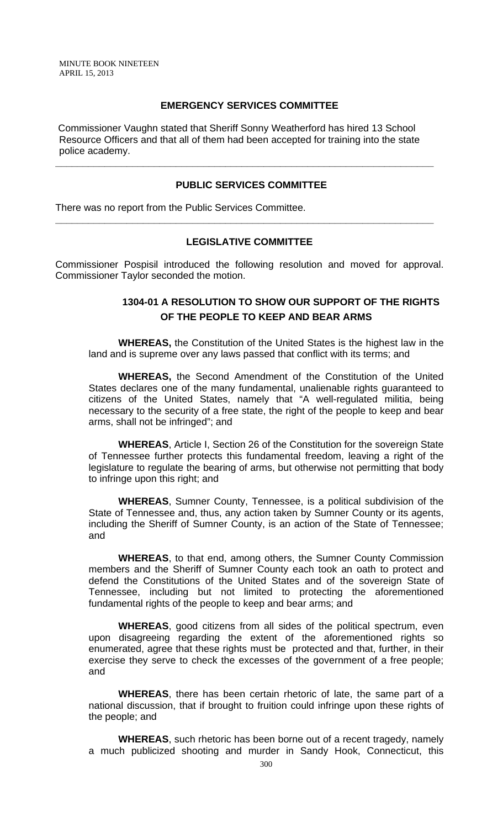### **EMERGENCY SERVICES COMMITTEE**

 Commissioner Vaughn stated that Sheriff Sonny Weatherford has hired 13 School Resource Officers and that all of them had been accepted for training into the state police academy.

**\_\_\_\_\_\_\_\_\_\_\_\_\_\_\_\_\_\_\_\_\_\_\_\_\_\_\_\_\_\_\_\_\_\_\_\_\_\_\_\_\_\_\_\_\_\_\_\_\_\_\_\_\_\_\_\_\_\_\_\_\_\_\_\_\_\_\_\_\_** 

#### **PUBLIC SERVICES COMMITTEE**

There was no report from the Public Services Committee.

## **LEGISLATIVE COMMITTEE**

**\_\_\_\_\_\_\_\_\_\_\_\_\_\_\_\_\_\_\_\_\_\_\_\_\_\_\_\_\_\_\_\_\_\_\_\_\_\_\_\_\_\_\_\_\_\_\_\_\_\_\_\_\_\_\_\_\_\_\_\_\_\_\_\_\_\_\_\_\_** 

Commissioner Pospisil introduced the following resolution and moved for approval. Commissioner Taylor seconded the motion.

# **1304-01 A RESOLUTION TO SHOW OUR SUPPORT OF THE RIGHTS OF THE PEOPLE TO KEEP AND BEAR ARMS**

 **WHEREAS,** the Constitution of the United States is the highest law in the land and is supreme over any laws passed that conflict with its terms; and

**WHEREAS,** the Second Amendment of the Constitution of the United States declares one of the many fundamental, unalienable rights guaranteed to citizens of the United States, namely that "A well-regulated militia, being necessary to the security of a free state, the right of the people to keep and bear arms, shall not be infringed"; and

**WHEREAS**, Article I, Section 26 of the Constitution for the sovereign State of Tennessee further protects this fundamental freedom, leaving a right of the legislature to regulate the bearing of arms, but otherwise not permitting that body to infringe upon this right; and

**WHEREAS**, Sumner County, Tennessee, is a political subdivision of the State of Tennessee and, thus, any action taken by Sumner County or its agents, including the Sheriff of Sumner County, is an action of the State of Tennessee; and

**WHEREAS**, to that end, among others, the Sumner County Commission members and the Sheriff of Sumner County each took an oath to protect and defend the Constitutions of the United States and of the sovereign State of Tennessee, including but not limited to protecting the aforementioned fundamental rights of the people to keep and bear arms; and

**WHEREAS**, good citizens from all sides of the political spectrum, even upon disagreeing regarding the extent of the aforementioned rights so enumerated, agree that these rights must be protected and that, further, in their exercise they serve to check the excesses of the government of a free people; and

**WHEREAS**, there has been certain rhetoric of late, the same part of a national discussion, that if brought to fruition could infringe upon these rights of the people; and

**WHEREAS**, such rhetoric has been borne out of a recent tragedy, namely a much publicized shooting and murder in Sandy Hook, Connecticut, this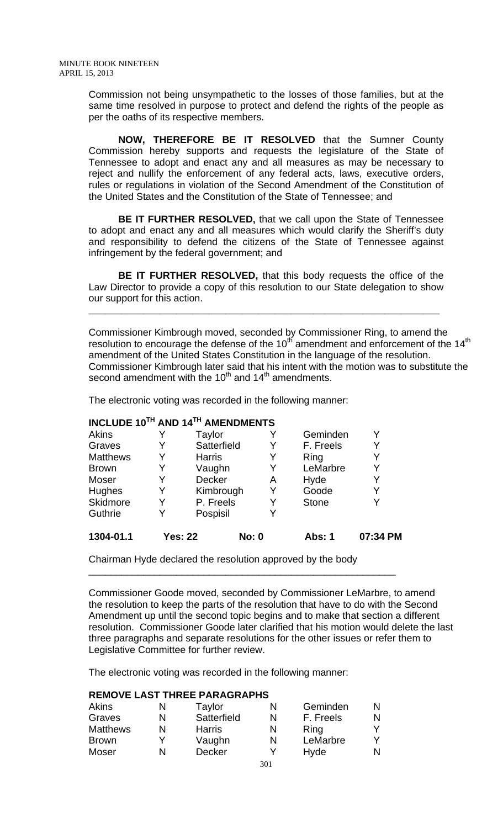Commission not being unsympathetic to the losses of those families, but at the same time resolved in purpose to protect and defend the rights of the people as per the oaths of its respective members.

**NOW, THEREFORE BE IT RESOLVED** that the Sumner County Commission hereby supports and requests the legislature of the State of Tennessee to adopt and enact any and all measures as may be necessary to reject and nullify the enforcement of any federal acts, laws, executive orders, rules or regulations in violation of the Second Amendment of the Constitution of the United States and the Constitution of the State of Tennessee; and

**BE IT FURTHER RESOLVED,** that we call upon the State of Tennessee to adopt and enact any and all measures which would clarify the Sheriff's duty and responsibility to defend the citizens of the State of Tennessee against infringement by the federal government; and

**BE IT FURTHER RESOLVED,** that this body requests the office of the Law Director to provide a copy of this resolution to our State delegation to show our support for this action.

**\_\_\_\_\_\_\_\_\_\_\_\_\_\_\_\_\_\_\_\_\_\_\_\_\_\_\_\_\_\_\_\_\_\_\_\_\_\_\_\_\_\_\_\_\_\_\_\_\_\_\_\_\_\_\_\_\_\_\_\_\_\_\_\_**

Commissioner Kimbrough moved, seconded by Commissioner Ring, to amend the resolution to encourage the defense of the  $10^{th}$  amendment and enforcement of the  $14^{th}$ amendment of the United States Constitution in the language of the resolution. Commissioner Kimbrough later said that his intent with the motion was to substitute the second amendment with the  $10<sup>th</sup>$  and  $14<sup>th</sup>$  amendments.

The electronic voting was recorded in the following manner:

## **INCLUDE 10TH AND 14TH AMENDMENTS**

| 1304-01.1       |   | <b>Yes: 22</b> | <b>No: 0</b> |   | Abs: 1       | 07:34 PM |
|-----------------|---|----------------|--------------|---|--------------|----------|
| Guthrie         |   | Pospisil       |              | Y |              |          |
| Skidmore        | Y | P. Freels      |              | Y | <b>Stone</b> |          |
| Hughes          | Y |                | Kimbrough    | Y | Goode        | Y        |
| Moser           |   | Decker         |              | A | Hyde         |          |
| <b>Brown</b>    | Y | Vaughn         |              | Y | LeMarbre     | Y        |
| <b>Matthews</b> | Y | <b>Harris</b>  |              | Y | Ring         | Y        |
| Graves          | Y | Satterfield    |              | Y | F. Freels    | Y        |
| Akins           |   | Taylor         |              | Y | Geminden     |          |

\_\_\_\_\_\_\_\_\_\_\_\_\_\_\_\_\_\_\_\_\_\_\_\_\_\_\_\_\_\_\_\_\_\_\_\_\_\_\_\_\_\_\_\_\_\_\_\_\_\_\_\_\_\_\_\_

Chairman Hyde declared the resolution approved by the body

Commissioner Goode moved, seconded by Commissioner LeMarbre, to amend the resolution to keep the parts of the resolution that have to do with the Second Amendment up until the second topic begins and to make that section a different resolution. Commissioner Goode later clarified that his motion would delete the last three paragraphs and separate resolutions for the other issues or refer them to Legislative Committee for further review.

The electronic voting was recorded in the following manner:

## **REMOVE LAST THREE PARAGRAPHS**

| Akins           | N | Taylor        | N | Geminden  |  |
|-----------------|---|---------------|---|-----------|--|
| Graves          | N | Satterfield   | N | F. Freels |  |
| <b>Matthews</b> | N | <b>Harris</b> | N | Ring      |  |
| <b>Brown</b>    |   | Vaughn        | N | LeMarbre  |  |
| Moser           | N | <b>Decker</b> |   | Hyde      |  |
|                 |   |               |   |           |  |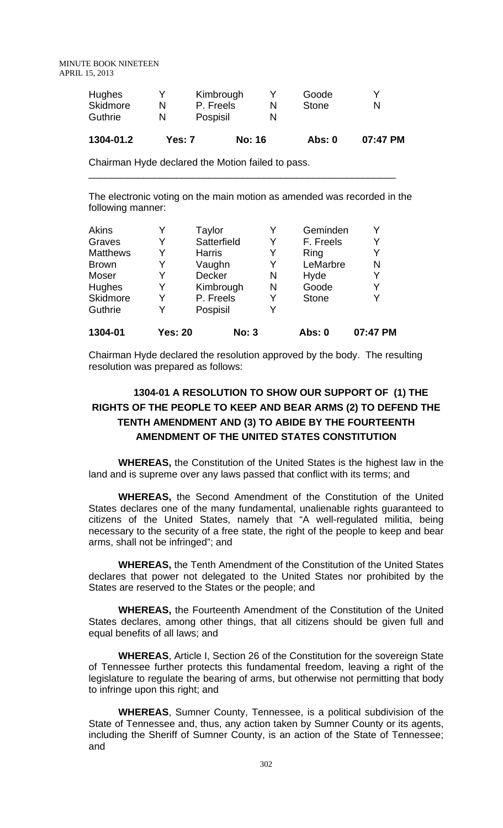| 1001010         | $\blacksquare$ |           | $\cdots$     |   |
|-----------------|----------------|-----------|--------------|---|
| <b>Guthrie</b>  |                | Pospisil  |              |   |
| <b>Skidmore</b> | N              | P. Freels | <b>Stone</b> | N |
| <b>Hughes</b>   |                | Kimbrough | Goode        | v |

| 1304-01.2 | <b>Yes: 7</b> | <b>No: 16</b> | Abs: 0 | 07:47 PM |
|-----------|---------------|---------------|--------|----------|
|           |               |               |        |          |

\_\_\_\_\_\_\_\_\_\_\_\_\_\_\_\_\_\_\_\_\_\_\_\_\_\_\_\_\_\_\_\_\_\_\_\_\_\_\_\_\_\_\_\_\_\_\_\_\_\_\_\_\_\_\_\_

Chairman Hyde declared the Motion failed to pass.

The electronic voting on the main motion as amended was recorded in the following manner:

| 1304-01         | <b>Yes: 20</b> | <b>No: 3</b>  |   | Abs: 0       | 07:47 PM |
|-----------------|----------------|---------------|---|--------------|----------|
| Guthrie         | Y              | Pospisil      | Y |              |          |
| Skidmore        | Y              | P. Freels     | Y | <b>Stone</b> | Y        |
| <b>Hughes</b>   | Y              | Kimbrough     | N | Goode        | Y        |
| Moser           | Y              | Decker        | N | Hyde         | Y        |
| <b>Brown</b>    | Y              | Vaughn        | Y | LeMarbre     | N        |
| <b>Matthews</b> | Y              | <b>Harris</b> | Y | Ring         | Y        |
| Graves          |                | Satterfield   | Y | F. Freels    | Y        |
| Akins           | Y              | Taylor        | Y | Geminden     | Y        |

Chairman Hyde declared the resolution approved by the body. The resulting resolution was prepared as follows:

# **1304-01 A RESOLUTION TO SHOW OUR SUPPORT OF (1) THE RIGHTS OF THE PEOPLE TO KEEP AND BEAR ARMS (2) TO DEFEND THE TENTH AMENDMENT AND (3) TO ABIDE BY THE FOURTEENTH AMENDMENT OF THE UNITED STATES CONSTITUTION**

 **WHEREAS,** the Constitution of the United States is the highest law in the land and is supreme over any laws passed that conflict with its terms; and

**WHEREAS,** the Second Amendment of the Constitution of the United States declares one of the many fundamental, unalienable rights guaranteed to citizens of the United States, namely that "A well-regulated militia, being necessary to the security of a free state, the right of the people to keep and bear arms, shall not be infringed"; and

**WHEREAS,** the Tenth Amendment of the Constitution of the United States declares that power not delegated to the United States nor prohibited by the States are reserved to the States or the people; and

**WHEREAS,** the Fourteenth Amendment of the Constitution of the United States declares, among other things, that all citizens should be given full and equal benefits of all laws; and

**WHEREAS**, Article I, Section 26 of the Constitution for the sovereign State of Tennessee further protects this fundamental freedom, leaving a right of the legislature to regulate the bearing of arms, but otherwise not permitting that body to infringe upon this right; and

**WHEREAS**, Sumner County, Tennessee, is a political subdivision of the State of Tennessee and, thus, any action taken by Sumner County or its agents, including the Sheriff of Sumner County, is an action of the State of Tennessee; and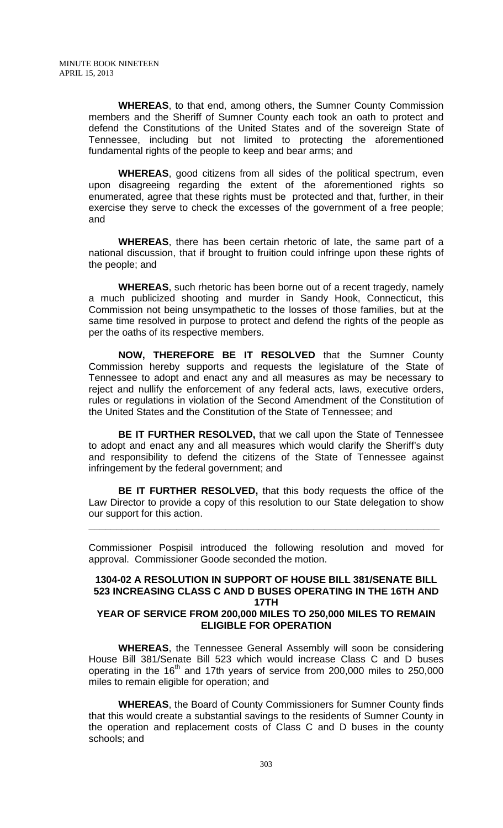**WHEREAS**, to that end, among others, the Sumner County Commission members and the Sheriff of Sumner County each took an oath to protect and defend the Constitutions of the United States and of the sovereign State of Tennessee, including but not limited to protecting the aforementioned fundamental rights of the people to keep and bear arms; and

**WHEREAS**, good citizens from all sides of the political spectrum, even upon disagreeing regarding the extent of the aforementioned rights so enumerated, agree that these rights must be protected and that, further, in their exercise they serve to check the excesses of the government of a free people; and

**WHEREAS**, there has been certain rhetoric of late, the same part of a national discussion, that if brought to fruition could infringe upon these rights of the people; and

**WHEREAS**, such rhetoric has been borne out of a recent tragedy, namely a much publicized shooting and murder in Sandy Hook, Connecticut, this Commission not being unsympathetic to the losses of those families, but at the same time resolved in purpose to protect and defend the rights of the people as per the oaths of its respective members.

**NOW, THEREFORE BE IT RESOLVED** that the Sumner County Commission hereby supports and requests the legislature of the State of Tennessee to adopt and enact any and all measures as may be necessary to reject and nullify the enforcement of any federal acts, laws, executive orders, rules or regulations in violation of the Second Amendment of the Constitution of the United States and the Constitution of the State of Tennessee; and

**BE IT FURTHER RESOLVED,** that we call upon the State of Tennessee to adopt and enact any and all measures which would clarify the Sheriff's duty and responsibility to defend the citizens of the State of Tennessee against infringement by the federal government; and

**BE IT FURTHER RESOLVED,** that this body requests the office of the Law Director to provide a copy of this resolution to our State delegation to show our support for this action.

**\_\_\_\_\_\_\_\_\_\_\_\_\_\_\_\_\_\_\_\_\_\_\_\_\_\_\_\_\_\_\_\_\_\_\_\_\_\_\_\_\_\_\_\_\_\_\_\_\_\_\_\_\_\_\_\_\_\_\_\_\_\_\_\_**

Commissioner Pospisil introduced the following resolution and moved for approval. Commissioner Goode seconded the motion.

#### **1304-02 A RESOLUTION IN SUPPORT OF HOUSE BILL 381/SENATE BILL 523 INCREASING CLASS C AND D BUSES OPERATING IN THE 16TH AND 17TH**

## **YEAR OF SERVICE FROM 200,000 MILES TO 250,000 MILES TO REMAIN ELIGIBLE FOR OPERATION**

**WHEREAS**, the Tennessee General Assembly will soon be considering House Bill 381/Senate Bill 523 which would increase Class C and D buses operating in the  $16<sup>th</sup>$  and 17th years of service from 200,000 miles to 250,000 miles to remain eligible for operation; and

**WHEREAS**, the Board of County Commissioners for Sumner County finds that this would create a substantial savings to the residents of Sumner County in the operation and replacement costs of Class C and D buses in the county schools; and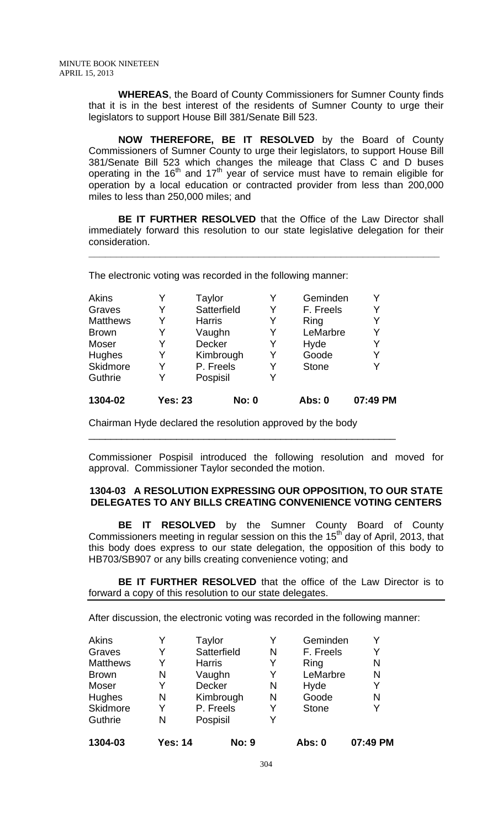**WHEREAS**, the Board of County Commissioners for Sumner County finds that it is in the best interest of the residents of Sumner County to urge their legislators to support House Bill 381/Senate Bill 523.

**NOW THEREFORE, BE IT RESOLVED** by the Board of County Commissioners of Sumner County to urge their legislators, to support House Bill 381/Senate Bill 523 which changes the mileage that Class C and D buses operating in the 16<sup>th</sup> and 17<sup>th</sup> year of service must have to remain eligible for operation by a local education or contracted provider from less than 200,000 miles to less than 250,000 miles; and

**BE IT FURTHER RESOLVED** that the Office of the Law Director shall immediately forward this resolution to our state legislative delegation for their consideration.

**\_\_\_\_\_\_\_\_\_\_\_\_\_\_\_\_\_\_\_\_\_\_\_\_\_\_\_\_\_\_\_\_\_\_\_\_\_\_\_\_\_\_\_\_\_\_\_\_\_\_\_\_\_\_\_\_\_\_\_\_\_\_\_\_**

The electronic voting was recorded in the following manner:

| Akins           |                | Taylor        |   | Geminden     | Y        |
|-----------------|----------------|---------------|---|--------------|----------|
| Graves          | Y              | Satterfield   | Y | F. Freels    | Y        |
| <b>Matthews</b> | Y              | <b>Harris</b> | Y | Ring         | Y        |
| <b>Brown</b>    | Y              | Vaughn        | Y | LeMarbre     | Y        |
| Moser           | Y              | <b>Decker</b> | Y | Hyde         | Y        |
| Hughes          | Y              | Kimbrough     | Y | Goode        | Y        |
| Skidmore        | Y              | P. Freels     | Y | <b>Stone</b> | Y        |
| Guthrie         | Y              | Pospisil      |   |              |          |
| 1304-02         | <b>Yes: 23</b> | <b>No: 0</b>  |   | Abs: 0       | 07:49 PM |

\_\_\_\_\_\_\_\_\_\_\_\_\_\_\_\_\_\_\_\_\_\_\_\_\_\_\_\_\_\_\_\_\_\_\_\_\_\_\_\_\_\_\_\_\_\_\_\_\_\_\_\_\_\_\_\_

Chairman Hyde declared the resolution approved by the body

Commissioner Pospisil introduced the following resolution and moved for approval. Commissioner Taylor seconded the motion.

## **1304-03 A RESOLUTION EXPRESSING OUR OPPOSITION, TO OUR STATE DELEGATES TO ANY BILLS CREATING CONVENIENCE VOTING CENTERS**

 **BE IT RESOLVED** by the Sumner County Board of County Commissioners meeting in regular session on this the 15<sup>th</sup> day of April, 2013, that this body does express to our state delegation, the opposition of this body to HB703/SB907 or any bills creating convenience voting; and

**BE IT FURTHER RESOLVED** that the office of the Law Director is to forward a copy of this resolution to our state delegates.

After discussion, the electronic voting was recorded in the following manner:

| 1304-03         | Yes: 14 | <b>No: 9</b>  |   | Abs: 0       | 07:49 PM |
|-----------------|---------|---------------|---|--------------|----------|
| Guthrie         | N       | Pospisil      | Y |              |          |
| Skidmore        | Y       | P. Freels     | Y | <b>Stone</b> | Y        |
| Hughes          | N       | Kimbrough     | N | Goode        | N        |
| Moser           | Y       | Decker        | N | Hyde         | Y        |
| <b>Brown</b>    | N       | Vaughn        | Y | LeMarbre     | N        |
| <b>Matthews</b> | Y       | <b>Harris</b> | Y | Ring         | N        |
| Graves          | Y       | Satterfield   | N | F. Freels    | Y        |
| Akins           |         | Taylor        |   | Geminden     |          |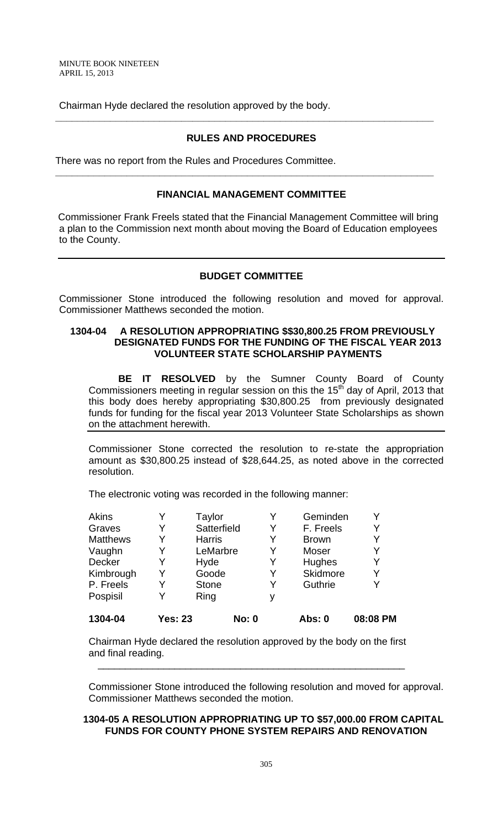Chairman Hyde declared the resolution approved by the body.

## **RULES AND PROCEDURES**

**\_\_\_\_\_\_\_\_\_\_\_\_\_\_\_\_\_\_\_\_\_\_\_\_\_\_\_\_\_\_\_\_\_\_\_\_\_\_\_\_\_\_\_\_\_\_\_\_\_\_\_\_\_\_\_\_\_\_\_\_\_\_\_\_\_\_\_\_\_** 

There was no report from the Rules and Procedures Committee.

### **FINANCIAL MANAGEMENT COMMITTEE**

**\_\_\_\_\_\_\_\_\_\_\_\_\_\_\_\_\_\_\_\_\_\_\_\_\_\_\_\_\_\_\_\_\_\_\_\_\_\_\_\_\_\_\_\_\_\_\_\_\_\_\_\_\_\_\_\_\_\_\_\_\_\_\_\_\_\_\_\_\_** 

 Commissioner Frank Freels stated that the Financial Management Committee will bring a plan to the Commission next month about moving the Board of Education employees to the County.

#### **BUDGET COMMITTEE**

Commissioner Stone introduced the following resolution and moved for approval. Commissioner Matthews seconded the motion.

## **1304-04 A RESOLUTION APPROPRIATING \$\$30,800.25 FROM PREVIOUSLY DESIGNATED FUNDS FOR THE FUNDING OF THE FISCAL YEAR 2013 VOLUNTEER STATE SCHOLARSHIP PAYMENTS**

 **BE IT RESOLVED** by the Sumner County Board of County Commissioners meeting in regular session on this the 15<sup>th</sup> day of April, 2013 that this body does hereby appropriating \$30,800.25 from previously designated funds for funding for the fiscal year 2013 Volunteer State Scholarships as shown on the attachment herewith.

Commissioner Stone corrected the resolution to re-state the appropriation amount as \$30,800.25 instead of \$28,644.25, as noted above in the corrected resolution.

The electronic voting was recorded in the following manner:

| 1304-04         | <b>Yes: 23</b> | <b>No: 0</b>  |   | Abs: 0          | 08:08 PM |
|-----------------|----------------|---------------|---|-----------------|----------|
| Pospisil        |                | Ring          | ٧ |                 |          |
| P. Freels       |                | <b>Stone</b>  | Y | Guthrie         | Y        |
| Kimbrough       |                | Goode         | Y | <b>Skidmore</b> | Y        |
| Decker          | Y              | Hyde          | Y | Hughes          | Y        |
| Vaughn          |                | LeMarbre      | Y | Moser           | Y        |
| <b>Matthews</b> |                | <b>Harris</b> | Y | <b>Brown</b>    | Y        |
| Graves          |                | Satterfield   | Y | F. Freels       | Y        |
| <b>Akins</b>    |                | Taylor        |   | Geminden        | Y        |

Chairman Hyde declared the resolution approved by the body on the first and final reading.

\_\_\_\_\_\_\_\_\_\_\_\_\_\_\_\_\_\_\_\_\_\_\_\_\_\_\_\_\_\_\_\_\_\_\_\_\_\_\_\_\_\_\_\_\_\_\_\_\_\_\_\_\_\_\_\_

Commissioner Stone introduced the following resolution and moved for approval. Commissioner Matthews seconded the motion.

## **1304-05 A RESOLUTION APPROPRIATING UP TO \$57,000.00 FROM CAPITAL FUNDS FOR COUNTY PHONE SYSTEM REPAIRS AND RENOVATION**